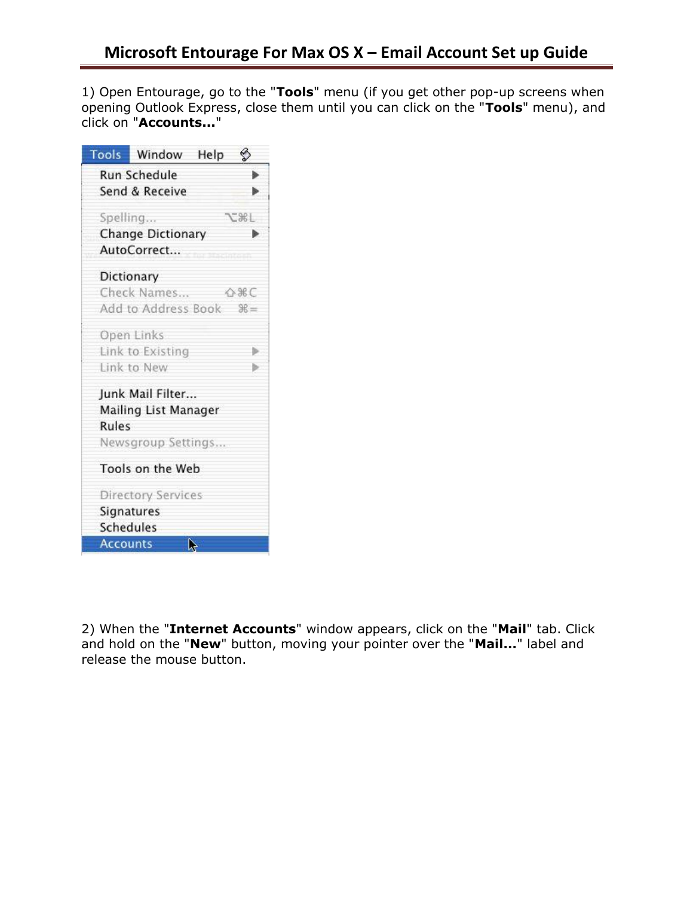1) Open Entourage, go to the "**Tools**" menu (if you get other pop-up screens when opening Outlook Express, close them until you can click on the "**Tools**" menu), and click on "**Accounts...**"

| Tools           | Window                   | Help |              |
|-----------------|--------------------------|------|--------------|
|                 | <b>Run Schedule</b>      |      |              |
|                 | Send & Receive           |      |              |
| Spelling        |                          |      | <b>7.36L</b> |
|                 | <b>Change Dictionary</b> |      | ⋗            |
|                 | AutoCorrect              |      |              |
|                 |                          |      |              |
|                 | Dictionary               |      |              |
|                 | Check Names              |      | ☆%€          |
|                 | Add to Address Book      |      | $\Re =$      |
|                 | Open Links               |      |              |
|                 | Link to Existing         |      | ь            |
|                 | Link to New              |      | ь            |
|                 | Junk Mail Filter         |      |              |
|                 | Mailing List Manager     |      |              |
| Rules           |                          |      |              |
|                 | Newsgroup Settings       |      |              |
|                 | Tools on the Web         |      |              |
|                 | Directory Services       |      |              |
|                 | Signatures               |      |              |
| Schedules       |                          |      |              |
| <b>Accounts</b> |                          | k)   |              |

2) When the "**Internet Accounts**" window appears, click on the "**Mail**" tab. Click and hold on the "**New**" button, moving your pointer over the "**Mail...**" label and release the mouse button.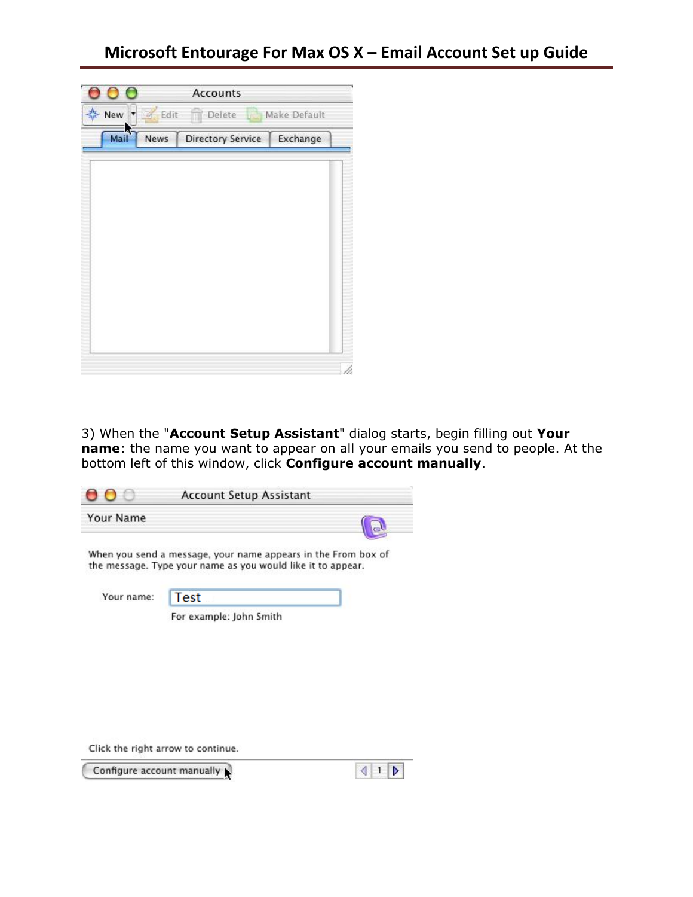# **Microsoft Entourage For Max OS X – Email Account Set up Guide**

| О              |             | Accounts                 |              |  |
|----------------|-------------|--------------------------|--------------|--|
| ※ New   ■ Edit |             | <b>Delete</b>            | Make Default |  |
| Mail           | <b>News</b> | <b>Directory Service</b> | Exchange     |  |
|                |             |                          |              |  |
|                |             |                          |              |  |
|                |             |                          |              |  |
|                |             |                          |              |  |
|                |             |                          |              |  |
|                |             |                          |              |  |
|                |             |                          |              |  |
|                |             |                          |              |  |
|                |             |                          |              |  |

3) When the "**Account Setup Assistant**" dialog starts, begin filling out **Your name**: the name you want to appear on all your emails you send to people. At the bottom left of this window, click **Configure account manually**.

|                  | <b>Account Setup Assistant</b>                                                                                               |  |
|------------------|------------------------------------------------------------------------------------------------------------------------------|--|
| <b>Your Name</b> |                                                                                                                              |  |
|                  | When you send a message, your name appears in the From box of<br>the message. Type your name as you would like it to appear. |  |
| Your name:       | <b>Test</b>                                                                                                                  |  |
|                  | For example: John Smith                                                                                                      |  |

Click the right arrow to continue.

Configure account manually

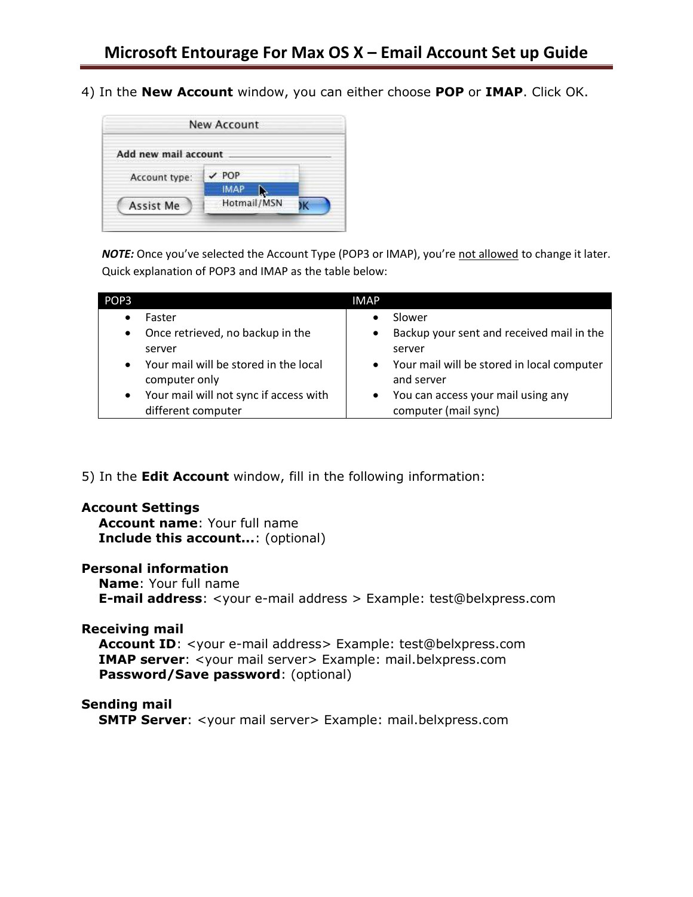4) In the **New Account** window, you can either choose **POP** or **IMAP**. Click OK.



NOTE: Once you've selected the Account Type (POP3 or IMAP), you're not allowed to change it later. Quick explanation of POP3 and IMAP as the table below:

| POP <sub>3</sub> |                                        | <b>IMAP</b> |                                            |
|------------------|----------------------------------------|-------------|--------------------------------------------|
|                  | Faster                                 |             | Slower                                     |
| $\bullet$        | Once retrieved, no backup in the       | ٠           | Backup your sent and received mail in the  |
|                  | server                                 |             | server                                     |
| $\bullet$        | Your mail will be stored in the local  | $\bullet$   | Your mail will be stored in local computer |
|                  | computer only                          |             | and server                                 |
| $\bullet$        | Your mail will not sync if access with |             | You can access your mail using any         |
|                  | different computer                     |             | computer (mail sync)                       |

5) In the **Edit Account** window, fill in the following information:

### **Account Settings**

**Account name**: Your full name **Include this account...**: (optional)

### **Personal information**

**Name**: Your full name **E-mail address**: <your e-mail address > Example: test@belxpress.com

# **Receiving mail**

Account ID: <your e-mail address> Example: test@belxpress.com **IMAP server:** <your mail server> Example: mail.belxpress.com **Password/Save password**: (optional)

## **Sending mail**

**SMTP Server:** <your mail server> Example: mail.belxpress.com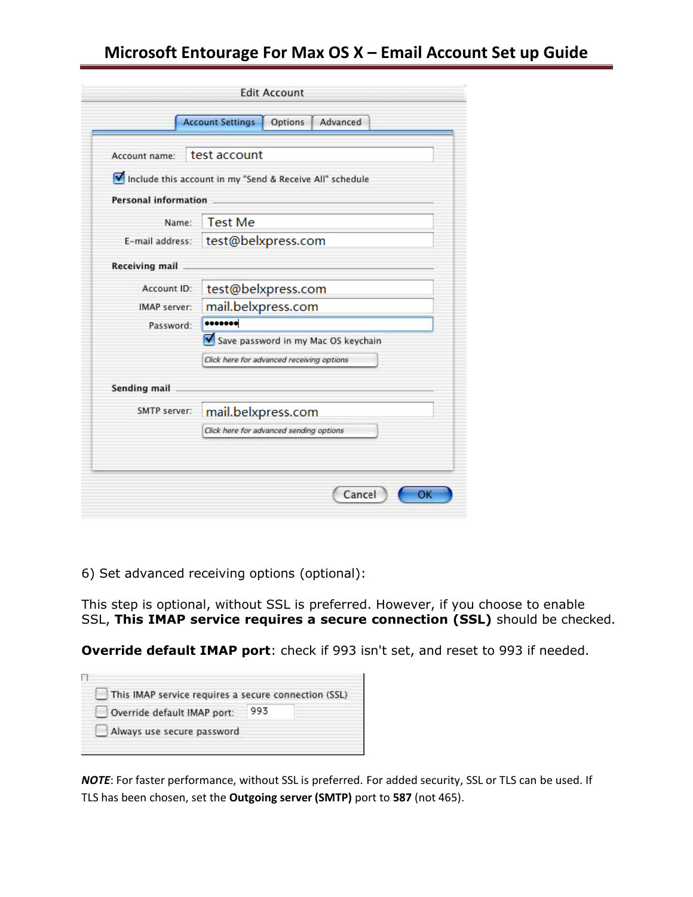| Account name:               | test account                                             |  |  |
|-----------------------------|----------------------------------------------------------|--|--|
|                             |                                                          |  |  |
|                             | Include this account in my "Send & Receive All" schedule |  |  |
| <b>Personal information</b> |                                                          |  |  |
| Name:                       | <b>Test Me</b>                                           |  |  |
| E-mail address:             | test@belxpress.com                                       |  |  |
| Receiving mail              |                                                          |  |  |
| Account ID:                 | test@belxpress.com                                       |  |  |
| IMAP server:                | mail.belxpress.com                                       |  |  |
| Password:                   | *******                                                  |  |  |
|                             | Save password in my Mac OS keychain                      |  |  |
|                             | Click here for advanced receiving options                |  |  |
| Sending mail                |                                                          |  |  |
| SMTP server:                | mail.belxpress.com                                       |  |  |
|                             | Click here for advanced sending options                  |  |  |

6) Set advanced receiving options (optional):

This step is optional, without SSL is preferred. However, if you choose to enable SSL, **This IMAP service requires a secure connection (SSL)** should be checked.

**Override default IMAP port**: check if 993 isn't set, and reset to 993 if needed.

| This IMAP service requires a secure connection (SSL) |     |  |
|------------------------------------------------------|-----|--|
| Override default IMAP port:                          | 993 |  |
| Always use secure password                           |     |  |

*NOTE*: For faster performance, without SSL is preferred. For added security, SSL or TLS can be used. If TLS has been chosen, set the **Outgoing server (SMTP)** port to **587** (not 465).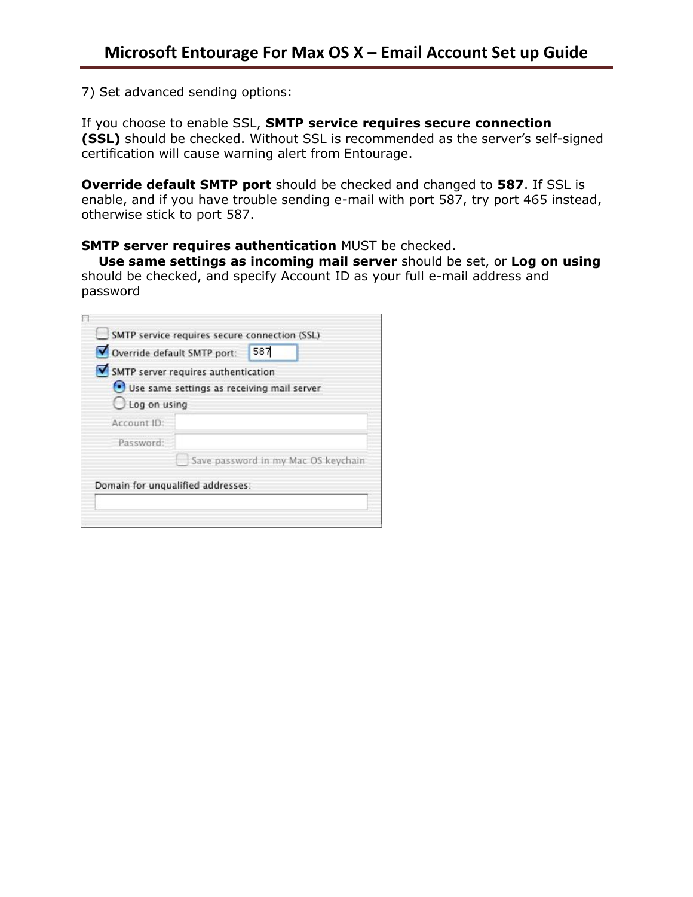7) Set advanced sending options:

If you choose to enable SSL, **SMTP service requires secure connection (SSL)** should be checked. Without SSL is recommended as the server's self-signed certification will cause warning alert from Entourage.

**Override default SMTP port** should be checked and changed to **587**. If SSL is enable, and if you have trouble sending e-mail with port 587, try port 465 instead, otherwise stick to port 587.

## **SMTP server requires authentication** MUST be checked.

**Use same settings as incoming mail server** should be set, or **Log on using** should be checked, and specify Account ID as your full e-mail address and password

|                         | SMTP server requires authentication        |
|-------------------------|--------------------------------------------|
|                         |                                            |
| $\bigcirc$ Log on using | Use same settings as receiving mail server |
|                         |                                            |
|                         |                                            |
|                         | Save password in my Mac OS keychain        |
|                         | Account ID:<br>Password:                   |